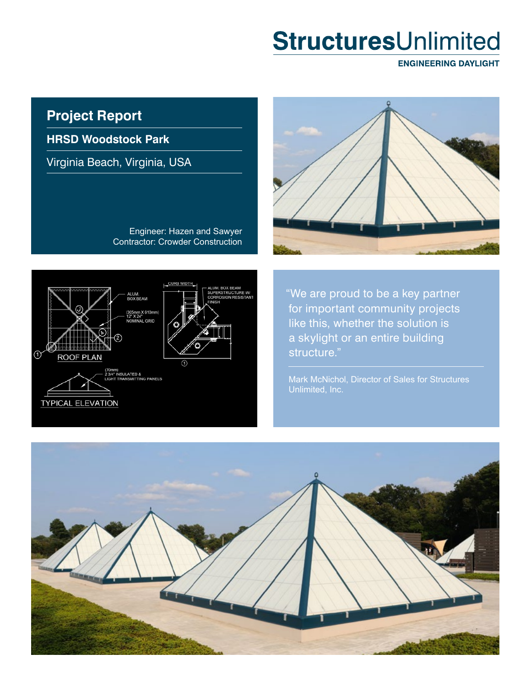# StructuresUnlimited

**ENGINEERING DAYLIGHT** 

# **Project Report**

**HRSD Woodstock Park**

Virginia Beach, Virginia, USA

Engineer: Hazen and Sawyer Contractor: Crowder Construction



ALUM.<br>BOX BEAM 305mm X 610m<br>12" X 24"<br>NOMINAL GRID ➀ **ROOF PLAN** ⋒ 70mm)<br>! 3/4" INSULATED &<br>.IGHT TRANSMITTING PANELS **TYPICAL ELEVATION** 

"We are proud to be a key partner for important community projects like this, whether the solution is a skylight or an entire building structure."

Mark McNichol, Director of Sales for Structures Unlimited, Inc.